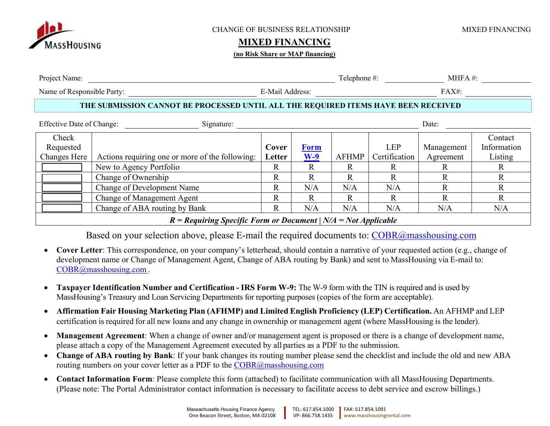

#### CHANGE OF BUSINESS RELATIONSHIP MIXED FINANCING

### **MIXED FINANCING**

#### **(no Risk Share or MAP financing)**

| Project Name:                                           |                                                                                    |                 |                      | Telephone #: |                             | $M = A$ #:              |                                   |
|---------------------------------------------------------|------------------------------------------------------------------------------------|-----------------|----------------------|--------------|-----------------------------|-------------------------|-----------------------------------|
| Name of Responsible Party:                              |                                                                                    | E-Mail Address: |                      |              |                             | $FAX#$ :                |                                   |
|                                                         | THE SUBMISSION CANNOT BE PROCESSED UNTIL ALL THE REQUIRED ITEMS HAVE BEEN RECEIVED |                 |                      |              |                             |                         |                                   |
| <b>Effective Date of Change:</b><br>Date:<br>Signature: |                                                                                    |                 |                      |              |                             |                         |                                   |
| Check<br>Requested<br><b>Changes Here</b>               | Actions requiring one or more of the following:                                    | Cover<br>Letter | <b>Form</b><br>$W-9$ | <b>AFHMP</b> | <b>LEP</b><br>Certification | Management<br>Agreement | Contact<br>Information<br>Listing |
|                                                         | New to Agency Portfolio                                                            | $\mathbf R$     | R                    | R            | R                           |                         | R                                 |
|                                                         | Change of Ownership                                                                | R               | R.                   | R.           | R.                          |                         | R                                 |
|                                                         | Change of Development Name                                                         | $\mathbb{R}$    | N/A                  | N/A          | N/A                         |                         | R                                 |
|                                                         | Change of Management Agent                                                         | $\mathbb R$     | R                    | R            | R                           |                         | $\mathbf R$                       |
|                                                         | Change of ABA routing by Bank                                                      | R               | N/A                  | N/A          | N/A                         | N/A                     | N/A                               |

### *R = Requiring Specific Form or Document | N/A = Not Applicable*

Based on your selection above, please E-mail the required documents to: COBR@masshousing.com

- . **Cover Letter**: This correspondence, on your company's letterhead, should contain a narrative of your requested action (e.g., change of development name or Change of Management Agent, Change of ABA routing by Bank) and sent to MassHousing via E-mail to: COBR@masshousing.com.
- $\bullet$  **Taxpayer Identification Number and Certification - IRS Form W-9:** The W-9 form with the TIN is required and is used by MassHousing's Treasury and Loan Servicing Departments for reporting purposes (copies of the form are acceptable).
- $\bullet$  **Affirmation Fair Housing Marketing Plan (AFHMP) and Limited English Proficiency (LEP) Certification.** An AFHMP and LEP certification is required for all new loans and any change in ownership or management agent (where MassHousing is the lender).
- $\bullet$  **Management Agreement**: When a change of owner and/or management agent is proposed or there is a change of development name, please attach a copy of the Management Agreement executed by all parties as a PDF to the submission.
- $\bullet$  **Change of ABA routing by Bank**: If your bank changes its routing number please send the checklist and include the old and new ABA routing numbers on your cover letter as a PDF to the  $\frac{\text{COBR}(a)}{a}$  masshousing.com
- $\bullet$  **Contact Information Form**: Please complete this form (attached) to facilitate communication with all MassHousing Departments. (Please note: The Portal Administrator contact information is necessary to facilitate access to debt service and escrow billings.)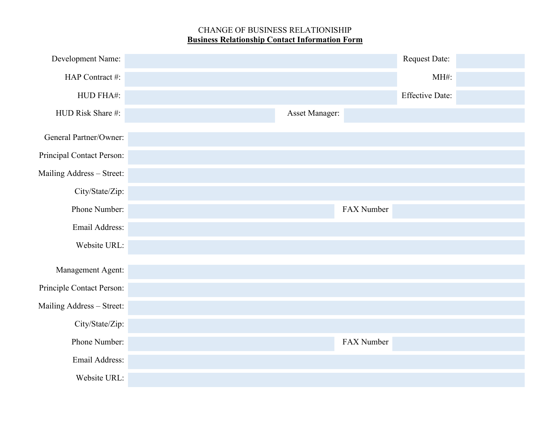## CHANGE OF BUSINESS RELATIONISHIP **Business Relationship Contact Information Form**

| Development Name:         |                |            | Request Date:          |  |
|---------------------------|----------------|------------|------------------------|--|
| HAP Contract #:           |                |            | MH#:                   |  |
| HUD FHA#:                 |                |            | <b>Effective Date:</b> |  |
| HUD Risk Share #:         | Asset Manager: |            |                        |  |
| General Partner/Owner:    |                |            |                        |  |
| Principal Contact Person: |                |            |                        |  |
| Mailing Address - Street: |                |            |                        |  |
| City/State/Zip:           |                |            |                        |  |
| Phone Number:             |                | FAX Number |                        |  |
| Email Address:            |                |            |                        |  |
| Website URL:              |                |            |                        |  |
| Management Agent:         |                |            |                        |  |
| Principle Contact Person: |                |            |                        |  |
| Mailing Address - Street: |                |            |                        |  |
| City/State/Zip:           |                |            |                        |  |
| Phone Number:             |                | FAX Number |                        |  |
| Email Address:            |                |            |                        |  |
| Website URL:              |                |            |                        |  |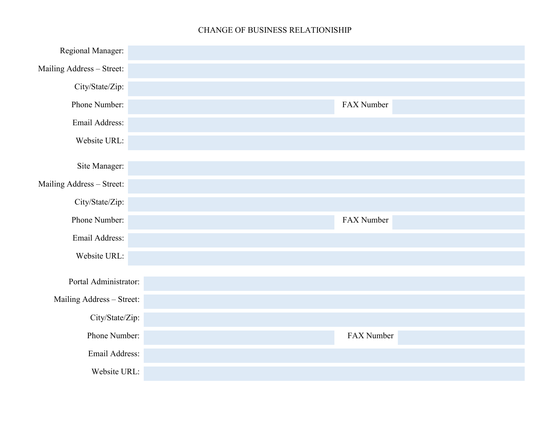## CHANGE OF BUSINESS RELATIONISHIP

| Regional Manager:         |            |
|---------------------------|------------|
| Mailing Address - Street: |            |
| City/State/Zip:           |            |
| Phone Number:             | FAX Number |
| Email Address:            |            |
| Website URL:              |            |
| Site Manager:             |            |
|                           |            |
| Mailing Address - Street: |            |
| City/State/Zip:           |            |
| Phone Number:             | FAX Number |
| Email Address:            |            |
| Website URL:              |            |
|                           |            |
| Portal Administrator:     |            |
| Mailing Address - Street: |            |
|                           |            |
| City/State/Zip:           |            |
| Phone Number:             | FAX Number |
| Email Address:            |            |